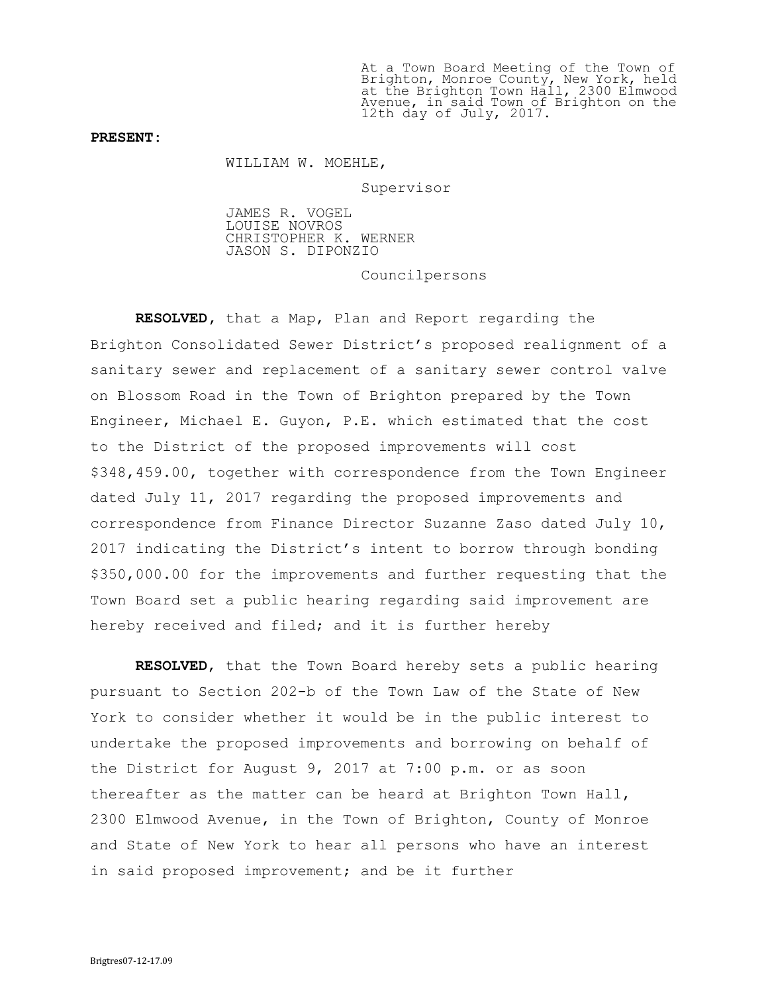At a Town Board Meeting of the Town of Brighton, Monroe County, New York, held at the Brighton Town Hall, 2300 Elmwood Avenue, in said Town of Brighton on the 12th day of July, 2017.

## PRESENT:

WILLIAM W. MOEHLE,

Supervisor

JAMES R. VOGEL LOUISE NOVROS CHRISTOPHER K. WERNER JASON S. DIPONZIO

Councilpersons

RESOLVED, that a Map, Plan and Report regarding the Brighton Consolidated Sewer District's proposed realignment of a sanitary sewer and replacement of a sanitary sewer control valve on Blossom Road in the Town of Brighton prepared by the Town Engineer, Michael E. Guyon, P.E. which estimated that the cost to the District of the proposed improvements will cost \$348,459.00, together with correspondence from the Town Engineer dated July 11, 2017 regarding the proposed improvements and correspondence from Finance Director Suzanne Zaso dated July 10, 2017 indicating the District's intent to borrow through bonding \$350,000.00 for the improvements and further requesting that the Town Board set a public hearing regarding said improvement are hereby received and filed; and it is further hereby

RESOLVED, that the Town Board hereby sets a public hearing pursuant to Section 202-b of the Town Law of the State of New York to consider whether it would be in the public interest to undertake the proposed improvements and borrowing on behalf of the District for August 9, 2017 at 7:00 p.m. or as soon thereafter as the matter can be heard at Brighton Town Hall, 2300 Elmwood Avenue, in the Town of Brighton, County of Monroe and State of New York to hear all persons who have an interest in said proposed improvement; and be it further